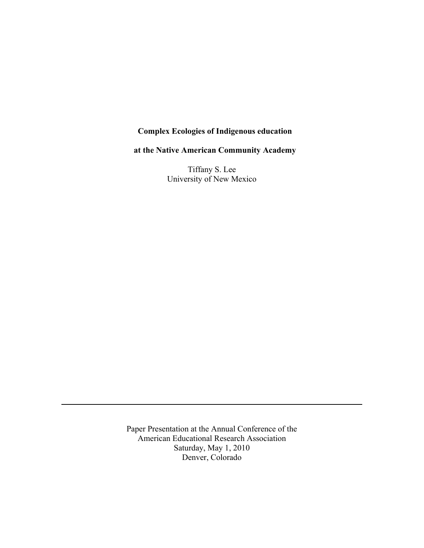# **Complex Ecologies of Indigenous education**

**at the Native American Community Academy**

Tiffany S. Lee University of New Mexico

Paper Presentation at the Annual Conference of the American Educational Research Association Saturday, May 1, 2010 Denver, Colorado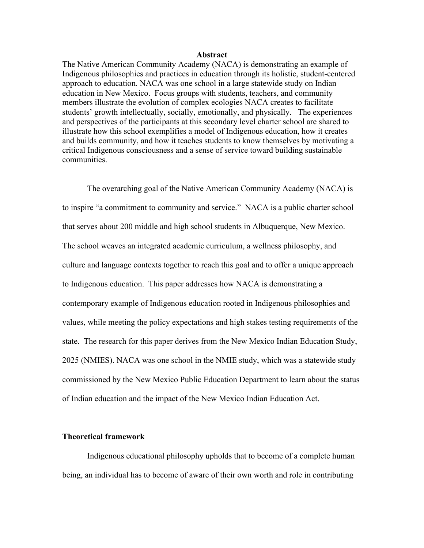#### **Abstract**

The Native American Community Academy (NACA) is demonstrating an example of Indigenous philosophies and practices in education through its holistic, student-centered approach to education. NACA was one school in a large statewide study on Indian education in New Mexico. Focus groups with students, teachers, and community members illustrate the evolution of complex ecologies NACA creates to facilitate students' growth intellectually, socially, emotionally, and physically. The experiences and perspectives of the participants at this secondary level charter school are shared to illustrate how this school exemplifies a model of Indigenous education, how it creates and builds community, and how it teaches students to know themselves by motivating a critical Indigenous consciousness and a sense of service toward building sustainable communities.

The overarching goal of the Native American Community Academy (NACA) is to inspire "a commitment to community and service." NACA is a public charter school that serves about 200 middle and high school students in Albuquerque, New Mexico. The school weaves an integrated academic curriculum, a wellness philosophy, and culture and language contexts together to reach this goal and to offer a unique approach to Indigenous education. This paper addresses how NACA is demonstrating a contemporary example of Indigenous education rooted in Indigenous philosophies and values, while meeting the policy expectations and high stakes testing requirements of the state. The research for this paper derives from the New Mexico Indian Education Study, 2025 (NMIES). NACA was one school in the NMIE study, which was a statewide study commissioned by the New Mexico Public Education Department to learn about the status of Indian education and the impact of the New Mexico Indian Education Act.

#### **Theoretical framework**

Indigenous educational philosophy upholds that to become of a complete human being, an individual has to become of aware of their own worth and role in contributing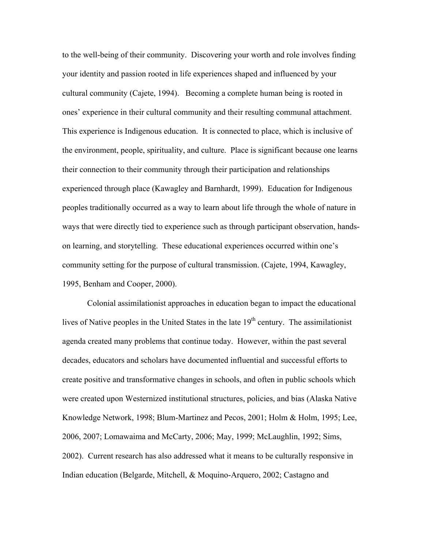to the well-being of their community. Discovering your worth and role involves finding your identity and passion rooted in life experiences shaped and influenced by your cultural community (Cajete, 1994). Becoming a complete human being is rooted in ones' experience in their cultural community and their resulting communal attachment. This experience is Indigenous education. It is connected to place, which is inclusive of the environment, people, spirituality, and culture. Place is significant because one learns their connection to their community through their participation and relationships experienced through place (Kawagley and Barnhardt, 1999). Education for Indigenous peoples traditionally occurred as a way to learn about life through the whole of nature in ways that were directly tied to experience such as through participant observation, handson learning, and storytelling. These educational experiences occurred within one's community setting for the purpose of cultural transmission. (Cajete, 1994, Kawagley, 1995, Benham and Cooper, 2000).

Colonial assimilationist approaches in education began to impact the educational lives of Native peoples in the United States in the late  $19<sup>th</sup>$  century. The assimilationist agenda created many problems that continue today. However, within the past several decades, educators and scholars have documented influential and successful efforts to create positive and transformative changes in schools, and often in public schools which were created upon Westernized institutional structures, policies, and bias (Alaska Native Knowledge Network, 1998; Blum-Martinez and Pecos, 2001; Holm & Holm, 1995; Lee, 2006, 2007; Lomawaima and McCarty, 2006; May, 1999; McLaughlin, 1992; Sims, 2002). Current research has also addressed what it means to be culturally responsive in Indian education (Belgarde, Mitchell, & Moquino-Arquero, 2002; Castagno and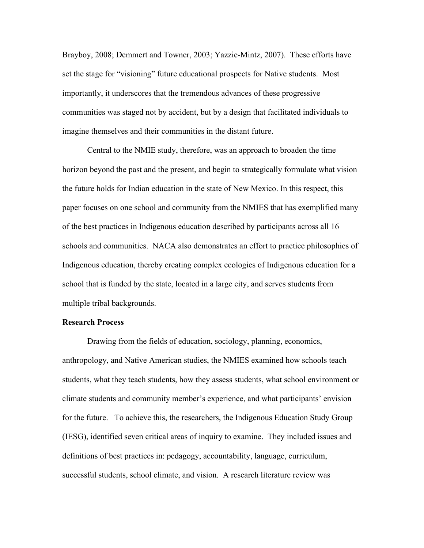Brayboy, 2008; Demmert and Towner, 2003; Yazzie-Mintz, 2007). These efforts have set the stage for "visioning" future educational prospects for Native students. Most importantly, it underscores that the tremendous advances of these progressive communities was staged not by accident, but by a design that facilitated individuals to imagine themselves and their communities in the distant future.

Central to the NMIE study, therefore, was an approach to broaden the time horizon beyond the past and the present, and begin to strategically formulate what vision the future holds for Indian education in the state of New Mexico. In this respect, this paper focuses on one school and community from the NMIES that has exemplified many of the best practices in Indigenous education described by participants across all 16 schools and communities. NACA also demonstrates an effort to practice philosophies of Indigenous education, thereby creating complex ecologies of Indigenous education for a school that is funded by the state, located in a large city, and serves students from multiple tribal backgrounds.

## **Research Process**

Drawing from the fields of education, sociology, planning, economics, anthropology, and Native American studies, the NMIES examined how schools teach students, what they teach students, how they assess students, what school environment or climate students and community member's experience, and what participants' envision for the future. To achieve this, the researchers, the Indigenous Education Study Group (IESG), identified seven critical areas of inquiry to examine. They included issues and definitions of best practices in: pedagogy, accountability, language, curriculum, successful students, school climate, and vision. A research literature review was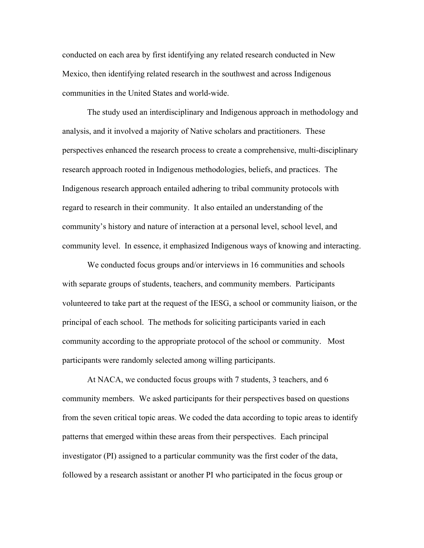conducted on each area by first identifying any related research conducted in New Mexico, then identifying related research in the southwest and across Indigenous communities in the United States and world-wide.

The study used an interdisciplinary and Indigenous approach in methodology and analysis, and it involved a majority of Native scholars and practitioners. These perspectives enhanced the research process to create a comprehensive, multi-disciplinary research approach rooted in Indigenous methodologies, beliefs, and practices. The Indigenous research approach entailed adhering to tribal community protocols with regard to research in their community. It also entailed an understanding of the community's history and nature of interaction at a personal level, school level, and community level. In essence, it emphasized Indigenous ways of knowing and interacting.

We conducted focus groups and/or interviews in 16 communities and schools with separate groups of students, teachers, and community members. Participants volunteered to take part at the request of the IESG, a school or community liaison, or the principal of each school. The methods for soliciting participants varied in each community according to the appropriate protocol of the school or community. Most participants were randomly selected among willing participants.

At NACA, we conducted focus groups with 7 students, 3 teachers, and 6 community members. We asked participants for their perspectives based on questions from the seven critical topic areas. We coded the data according to topic areas to identify patterns that emerged within these areas from their perspectives. Each principal investigator (PI) assigned to a particular community was the first coder of the data, followed by a research assistant or another PI who participated in the focus group or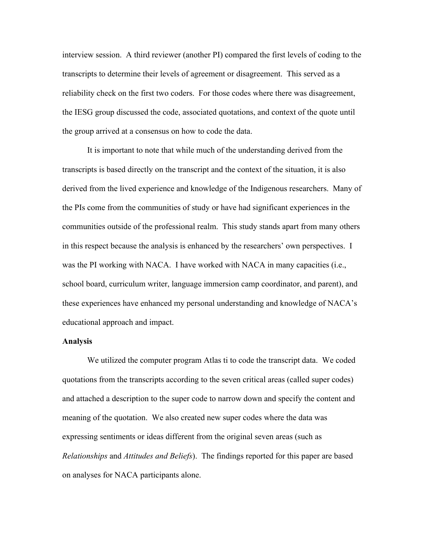interview session. A third reviewer (another PI) compared the first levels of coding to the transcripts to determine their levels of agreement or disagreement. This served as a reliability check on the first two coders. For those codes where there was disagreement, the IESG group discussed the code, associated quotations, and context of the quote until the group arrived at a consensus on how to code the data.

It is important to note that while much of the understanding derived from the transcripts is based directly on the transcript and the context of the situation, it is also derived from the lived experience and knowledge of the Indigenous researchers. Many of the PIs come from the communities of study or have had significant experiences in the communities outside of the professional realm. This study stands apart from many others in this respect because the analysis is enhanced by the researchers' own perspectives. I was the PI working with NACA. I have worked with NACA in many capacities (i.e., school board, curriculum writer, language immersion camp coordinator, and parent), and these experiences have enhanced my personal understanding and knowledge of NACA's educational approach and impact.

#### **Analysis**

We utilized the computer program Atlas ti to code the transcript data. We coded quotations from the transcripts according to the seven critical areas (called super codes) and attached a description to the super code to narrow down and specify the content and meaning of the quotation. We also created new super codes where the data was expressing sentiments or ideas different from the original seven areas (such as *Relationships* and *Attitudes and Beliefs*). The findings reported for this paper are based on analyses for NACA participants alone.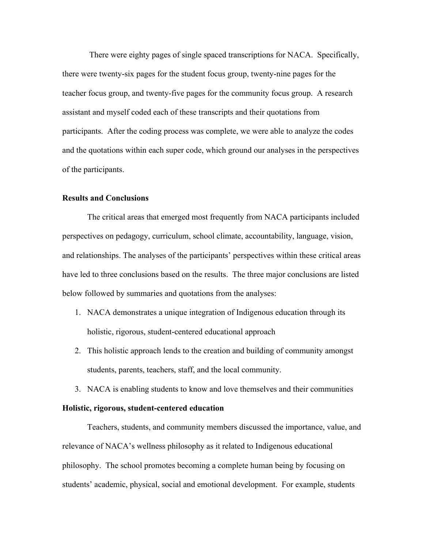There were eighty pages of single spaced transcriptions for NACA. Specifically, there were twenty-six pages for the student focus group, twenty-nine pages for the teacher focus group, and twenty-five pages for the community focus group. A research assistant and myself coded each of these transcripts and their quotations from participants. After the coding process was complete, we were able to analyze the codes and the quotations within each super code, which ground our analyses in the perspectives of the participants.

## **Results and Conclusions**

The critical areas that emerged most frequently from NACA participants included perspectives on pedagogy, curriculum, school climate, accountability, language, vision, and relationships. The analyses of the participants' perspectives within these critical areas have led to three conclusions based on the results. The three major conclusions are listed below followed by summaries and quotations from the analyses:

- 1. NACA demonstrates a unique integration of Indigenous education through its holistic, rigorous, student-centered educational approach
- 2. This holistic approach lends to the creation and building of community amongst students, parents, teachers, staff, and the local community.
- 3. NACA is enabling students to know and love themselves and their communities

## **Holistic, rigorous, student-centered education**

Teachers, students, and community members discussed the importance, value, and relevance of NACA's wellness philosophy as it related to Indigenous educational philosophy. The school promotes becoming a complete human being by focusing on students' academic, physical, social and emotional development. For example, students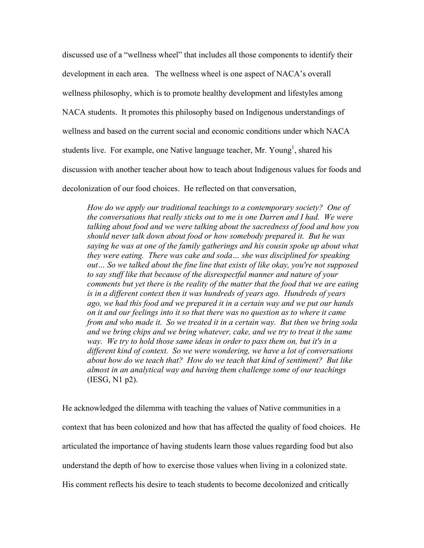discussed use of a "wellness wheel" that includes all those components to identify their development in each area. The wellness wheel is one aspect of NACA's overall wellness philosophy, which is to promote healthy development and lifestyles among NACA students. It promotes this philosophy based on Indigenous understandings of wellness and based on the current social and economic conditions under which NACA students live. For example, one Native language teacher, Mr. Young<sup>1</sup>, shared his discussion with another teacher about how to teach about Indigenous values for foods and decolonization of our food choices. He reflected on that conversation,

*How do we apply our traditional teachings to a contemporary society? One of the conversations that really sticks out to me is one Darren and I had. We were talking about food and we were talking about the sacredness of food and how you should never talk down about food or how somebody prepared it. But he was saying he was at one of the family gatherings and his cousin spoke up about what they were eating. There was cake and soda… she was disciplined for speaking out… So we talked about the fine line that exists of like okay, you're not supposed to say stuff like that because of the disrespectful manner and nature of your comments but yet there is the reality of the matter that the food that we are eating is in a different context then it was hundreds of years ago. Hundreds of years ago, we had this food and we prepared it in a certain way and we put our hands on it and our feelings into it so that there was no question as to where it came from and who made it. So we treated it in a certain way. But then we bring soda and we bring chips and we bring whatever, cake, and we try to treat it the same way. We try to hold those same ideas in order to pass them on, but it's in a different kind of context. So we were wondering, we have a lot of conversations about how do we teach that? How do we teach that kind of sentiment? But like almost in an analytical way and having them challenge some of our teachings* (IESG, N1 p2).

He acknowledged the dilemma with teaching the values of Native communities in a context that has been colonized and how that has affected the quality of food choices. He articulated the importance of having students learn those values regarding food but also understand the depth of how to exercise those values when living in a colonized state. His comment reflects his desire to teach students to become decolonized and critically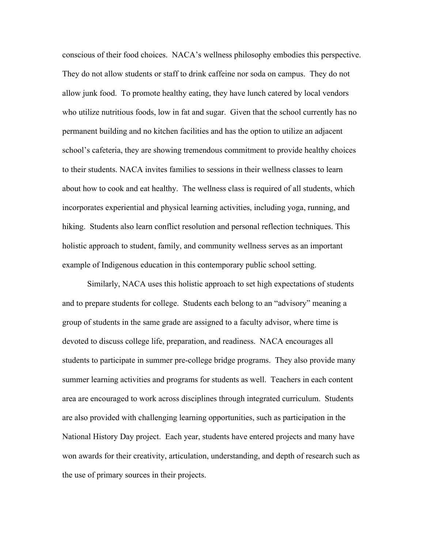conscious of their food choices. NACA's wellness philosophy embodies this perspective. They do not allow students or staff to drink caffeine nor soda on campus. They do not allow junk food. To promote healthy eating, they have lunch catered by local vendors who utilize nutritious foods, low in fat and sugar. Given that the school currently has no permanent building and no kitchen facilities and has the option to utilize an adjacent school's cafeteria, they are showing tremendous commitment to provide healthy choices to their students. NACA invites families to sessions in their wellness classes to learn about how to cook and eat healthy. The wellness class is required of all students, which incorporates experiential and physical learning activities, including yoga, running, and hiking. Students also learn conflict resolution and personal reflection techniques. This holistic approach to student, family, and community wellness serves as an important example of Indigenous education in this contemporary public school setting.

Similarly, NACA uses this holistic approach to set high expectations of students and to prepare students for college. Students each belong to an "advisory" meaning a group of students in the same grade are assigned to a faculty advisor, where time is devoted to discuss college life, preparation, and readiness. NACA encourages all students to participate in summer pre-college bridge programs. They also provide many summer learning activities and programs for students as well. Teachers in each content area are encouraged to work across disciplines through integrated curriculum. Students are also provided with challenging learning opportunities, such as participation in the National History Day project. Each year, students have entered projects and many have won awards for their creativity, articulation, understanding, and depth of research such as the use of primary sources in their projects.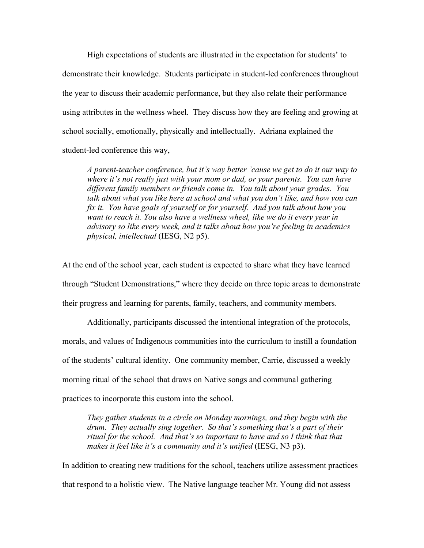High expectations of students are illustrated in the expectation for students' to demonstrate their knowledge. Students participate in student-led conferences throughout the year to discuss their academic performance, but they also relate their performance using attributes in the wellness wheel. They discuss how they are feeling and growing at school socially, emotionally, physically and intellectually. Adriana explained the student-led conference this way,

*A parent-teacher conference, but it's way better 'cause we get to do it our way to where it's not really just with your mom or dad, or your parents. You can have different family members or friends come in. You talk about your grades. You talk about what you like here at school and what you don't like, and how you can fix it. You have goals of yourself or for yourself. And you talk about how you want to reach it. You also have a wellness wheel, like we do it every year in advisory so like every week, and it talks about how you're feeling in academics physical, intellectual* (IESG, N2 p5).

At the end of the school year, each student is expected to share what they have learned through "Student Demonstrations," where they decide on three topic areas to demonstrate their progress and learning for parents, family, teachers, and community members.

Additionally, participants discussed the intentional integration of the protocols, morals, and values of Indigenous communities into the curriculum to instill a foundation of the students' cultural identity. One community member, Carrie, discussed a weekly morning ritual of the school that draws on Native songs and communal gathering practices to incorporate this custom into the school.

*They gather students in a circle on Monday mornings, and they begin with the drum. They actually sing together. So that's something that's a part of their*  ritual for the school. And that's so important to have and so I think that that *makes it feel like it's a community and it's unified* (IESG, N3 p3).

In addition to creating new traditions for the school, teachers utilize assessment practices that respond to a holistic view. The Native language teacher Mr. Young did not assess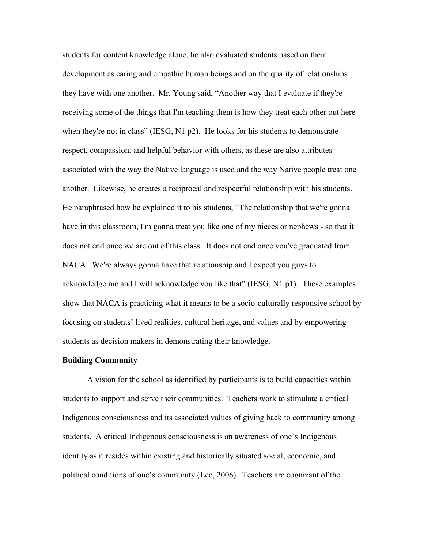students for content knowledge alone, he also evaluated students based on their development as caring and empathic human beings and on the quality of relationships they have with one another. Mr. Young said, "Another way that I evaluate if they're receiving some of the things that I'm teaching them is how they treat each other out here when they're not in class" (IESG, N1 p2). He looks for his students to demonstrate respect, compassion, and helpful behavior with others, as these are also attributes associated with the way the Native language is used and the way Native people treat one another. Likewise, he creates a reciprocal and respectful relationship with his students. He paraphrased how he explained it to his students, "The relationship that we're gonna have in this classroom, I'm gonna treat you like one of my nieces or nephews - so that it does not end once we are out of this class. It does not end once you've graduated from NACA. We're always gonna have that relationship and I expect you guys to acknowledge me and I will acknowledge you like that" (IESG, N1 p1). These examples show that NACA is practicing what it means to be a socio-culturally responsive school by focusing on students' lived realities, cultural heritage, and values and by empowering students as decision makers in demonstrating their knowledge.

#### **Building Community**

A vision for the school as identified by participants is to build capacities within students to support and serve their communities. Teachers work to stimulate a critical Indigenous consciousness and its associated values of giving back to community among students. A critical Indigenous consciousness is an awareness of one's Indigenous identity as it resides within existing and historically situated social, economic, and political conditions of one's community (Lee, 2006). Teachers are cognizant of the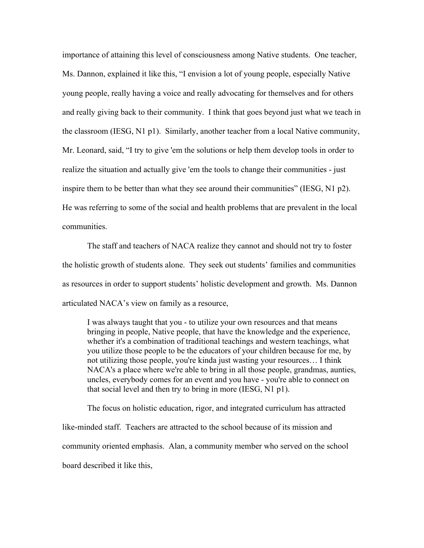importance of attaining this level of consciousness among Native students. One teacher, Ms. Dannon, explained it like this, "I envision a lot of young people, especially Native young people, really having a voice and really advocating for themselves and for others and really giving back to their community. I think that goes beyond just what we teach in the classroom (IESG, N1 p1). Similarly, another teacher from a local Native community, Mr. Leonard, said, "I try to give 'em the solutions or help them develop tools in order to realize the situation and actually give 'em the tools to change their communities - just inspire them to be better than what they see around their communities" (IESG, N1 p2). He was referring to some of the social and health problems that are prevalent in the local communities.

The staff and teachers of NACA realize they cannot and should not try to foster the holistic growth of students alone. They seek out students' families and communities as resources in order to support students' holistic development and growth. Ms. Dannon articulated NACA's view on family as a resource,

I was always taught that you - to utilize your own resources and that means bringing in people, Native people, that have the knowledge and the experience, whether it's a combination of traditional teachings and western teachings, what you utilize those people to be the educators of your children because for me, by not utilizing those people, you're kinda just wasting your resources… I think NACA's a place where we're able to bring in all those people, grandmas, aunties, uncles, everybody comes for an event and you have - you're able to connect on that social level and then try to bring in more (IESG, N1 p1).

The focus on holistic education, rigor, and integrated curriculum has attracted like-minded staff. Teachers are attracted to the school because of its mission and community oriented emphasis. Alan, a community member who served on the school board described it like this,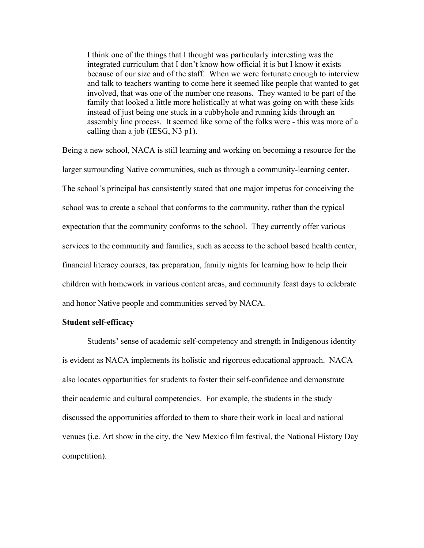I think one of the things that I thought was particularly interesting was the integrated curriculum that I don't know how official it is but I know it exists because of our size and of the staff. When we were fortunate enough to interview and talk to teachers wanting to come here it seemed like people that wanted to get involved, that was one of the number one reasons. They wanted to be part of the family that looked a little more holistically at what was going on with these kids instead of just being one stuck in a cubbyhole and running kids through an assembly line process. It seemed like some of the folks were - this was more of a calling than a job (IESG, N3 p1).

Being a new school, NACA is still learning and working on becoming a resource for the larger surrounding Native communities, such as through a community-learning center. The school's principal has consistently stated that one major impetus for conceiving the school was to create a school that conforms to the community, rather than the typical expectation that the community conforms to the school. They currently offer various services to the community and families, such as access to the school based health center, financial literacy courses, tax preparation, family nights for learning how to help their children with homework in various content areas, and community feast days to celebrate and honor Native people and communities served by NACA.

#### **Student self-efficacy**

Students' sense of academic self-competency and strength in Indigenous identity is evident as NACA implements its holistic and rigorous educational approach. NACA also locates opportunities for students to foster their self-confidence and demonstrate their academic and cultural competencies. For example, the students in the study discussed the opportunities afforded to them to share their work in local and national venues (i.e. Art show in the city, the New Mexico film festival, the National History Day competition).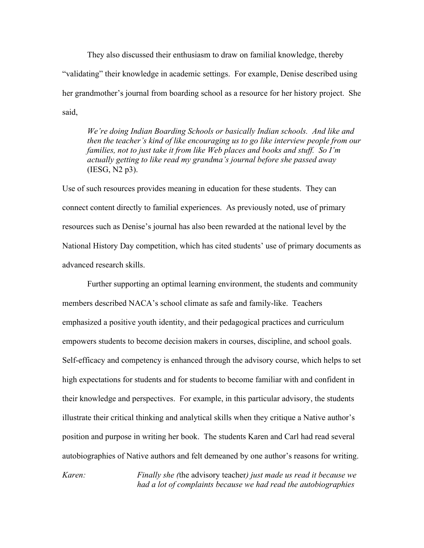They also discussed their enthusiasm to draw on familial knowledge, thereby "validating" their knowledge in academic settings. For example, Denise described using her grandmother's journal from boarding school as a resource for her history project. She said,

*We're doing Indian Boarding Schools or basically Indian schools. And like and then the teacher's kind of like encouraging us to go like interview people from our families, not to just take it from like Web places and books and stuff. So I'm actually getting to like read my grandma's journal before she passed away* (IESG, N2 p3).

Use of such resources provides meaning in education for these students. They can connect content directly to familial experiences. As previously noted, use of primary resources such as Denise's journal has also been rewarded at the national level by the National History Day competition, which has cited students' use of primary documents as advanced research skills.

Further supporting an optimal learning environment, the students and community members described NACA's school climate as safe and family-like. Teachers emphasized a positive youth identity, and their pedagogical practices and curriculum empowers students to become decision makers in courses, discipline, and school goals. Self-efficacy and competency is enhanced through the advisory course, which helps to set high expectations for students and for students to become familiar with and confident in their knowledge and perspectives. For example, in this particular advisory, the students illustrate their critical thinking and analytical skills when they critique a Native author's position and purpose in writing her book. The students Karen and Carl had read several autobiographies of Native authors and felt demeaned by one author's reasons for writing.

*Karen: Finally she (*the advisory teacher*) just made us read it because we had a lot of complaints because we had read the autobiographies*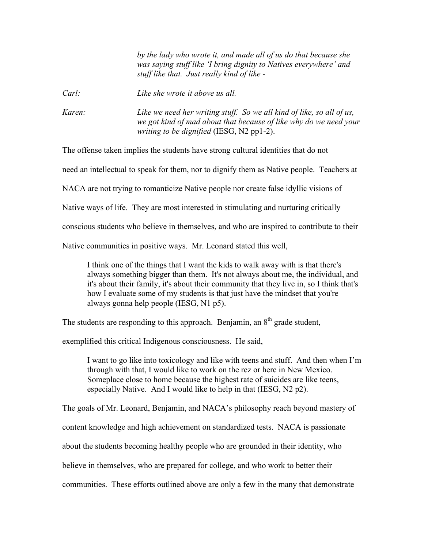*by the lady who wrote it, and made all of us do that because she was saying stuff like 'I bring dignity to Natives everywhere' and stuff like that. Just really kind of like -*

*Carl: Like she wrote it above us all.*

*Karen: Like we need her writing stuff. So we all kind of like, so all of us, we got kind of mad about that because of like why do we need your writing to be dignified* (IESG, N2 pp1-2).

The offense taken implies the students have strong cultural identities that do not

need an intellectual to speak for them, nor to dignify them as Native people. Teachers at

NACA are not trying to romanticize Native people nor create false idyllic visions of

Native ways of life. They are most interested in stimulating and nurturing critically

conscious students who believe in themselves, and who are inspired to contribute to their

Native communities in positive ways. Mr. Leonard stated this well,

I think one of the things that I want the kids to walk away with is that there's always something bigger than them. It's not always about me, the individual, and it's about their family, it's about their community that they live in, so I think that's how I evaluate some of my students is that just have the mindset that you're always gonna help people (IESG, N1 p5).

The students are responding to this approach. Benjamin, an  $8<sup>th</sup>$  grade student,

exemplified this critical Indigenous consciousness. He said,

I want to go like into toxicology and like with teens and stuff. And then when I'm through with that, I would like to work on the rez or here in New Mexico. Someplace close to home because the highest rate of suicides are like teens, especially Native. And I would like to help in that (IESG, N2 p2).

The goals of Mr. Leonard, Benjamin, and NACA's philosophy reach beyond mastery of

content knowledge and high achievement on standardized tests. NACA is passionate

about the students becoming healthy people who are grounded in their identity, who

believe in themselves, who are prepared for college, and who work to better their

communities. These efforts outlined above are only a few in the many that demonstrate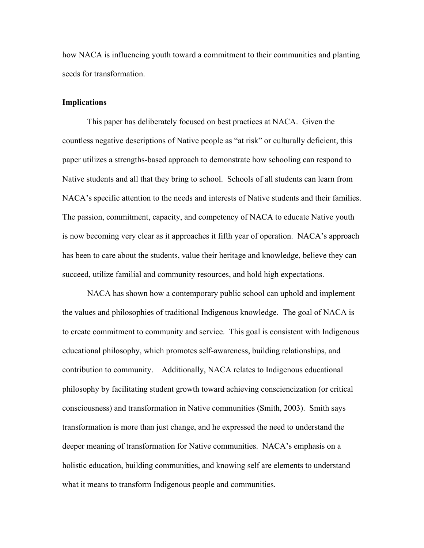how NACA is influencing youth toward a commitment to their communities and planting seeds for transformation.

## **Implications**

This paper has deliberately focused on best practices at NACA. Given the countless negative descriptions of Native people as "at risk" or culturally deficient, this paper utilizes a strengths-based approach to demonstrate how schooling can respond to Native students and all that they bring to school. Schools of all students can learn from NACA's specific attention to the needs and interests of Native students and their families. The passion, commitment, capacity, and competency of NACA to educate Native youth is now becoming very clear as it approaches it fifth year of operation. NACA's approach has been to care about the students, value their heritage and knowledge, believe they can succeed, utilize familial and community resources, and hold high expectations.

NACA has shown how a contemporary public school can uphold and implement the values and philosophies of traditional Indigenous knowledge. The goal of NACA is to create commitment to community and service. This goal is consistent with Indigenous educational philosophy, which promotes self-awareness, building relationships, and contribution to community. Additionally, NACA relates to Indigenous educational philosophy by facilitating student growth toward achieving consciencization (or critical consciousness) and transformation in Native communities (Smith, 2003). Smith says transformation is more than just change, and he expressed the need to understand the deeper meaning of transformation for Native communities. NACA's emphasis on a holistic education, building communities, and knowing self are elements to understand what it means to transform Indigenous people and communities.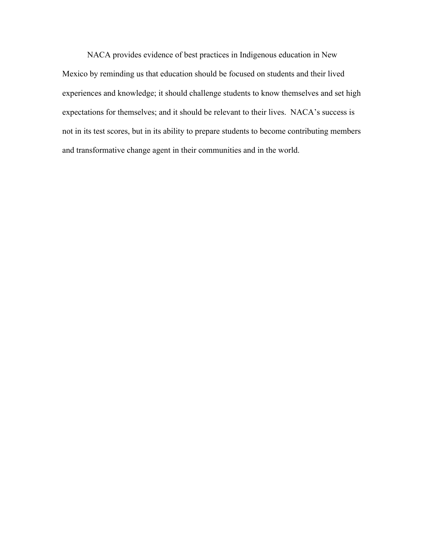NACA provides evidence of best practices in Indigenous education in New Mexico by reminding us that education should be focused on students and their lived experiences and knowledge; it should challenge students to know themselves and set high expectations for themselves; and it should be relevant to their lives. NACA's success is not in its test scores, but in its ability to prepare students to become contributing members and transformative change agent in their communities and in the world.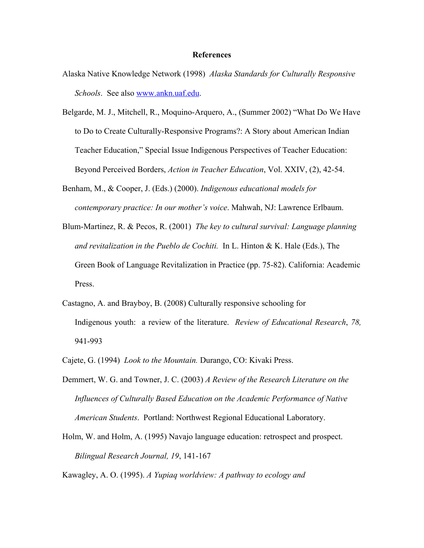#### **References**

- Alaska Native Knowledge Network (1998) *Alaska Standards for Culturally Responsive Schools*. See also www.ankn.uaf.edu.
- Belgarde, M. J., Mitchell, R., Moquino-Arquero, A., (Summer 2002) "What Do We Have to Do to Create Culturally-Responsive Programs?: A Story about American Indian Teacher Education," Special Issue Indigenous Perspectives of Teacher Education: Beyond Perceived Borders, *Action in Teacher Education*, Vol. XXIV, (2), 42-54.
- Benham, M., & Cooper, J. (Eds.) (2000). *Indigenous educational models for contemporary practice: In our mother's voice*. Mahwah, NJ: Lawrence Erlbaum.
- Blum-Martinez, R. & Pecos, R. (2001) *The key to cultural survival: Language planning and revitalization in the Pueblo de Cochiti.* In L. Hinton & K. Hale (Eds.), The Green Book of Language Revitalization in Practice (pp. 75-82). California: Academic Press.
- Castagno, A. and Brayboy, B. (2008) Culturally responsive schooling for Indigenous youth: a review of the literature. *Review of Educational Research*, *78,* 941-993
- Cajete, G. (1994) *Look to the Mountain.* Durango, CO: Kivaki Press.
- Demmert, W. G. and Towner, J. C. (2003) *A Review of the Research Literature on the Influences of Culturally Based Education on the Academic Performance of Native American Students*. Portland: Northwest Regional Educational Laboratory.
- Holm, W. and Holm, A. (1995) Navajo language education: retrospect and prospect. *Bilingual Research Journal, 19*, 141-167

Kawagley, A. O. (1995). *A Yupiaq worldview: A pathway to ecology and*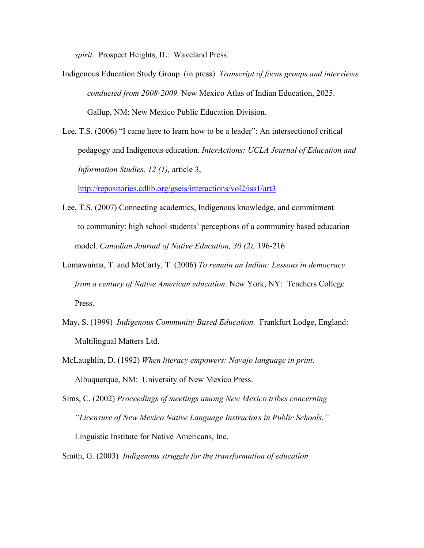*spirit.* Prospect Heights, IL: Waveland Press.

- Indigenous Education Study Group. (in press). *Transcript of focus groups and interviews conducted from 2008-2009.* New Mexico Atlas of Indian Education, 2025. Gallup, NM: New Mexico Public Education Division.
- Lee, T.S. (2006) "I came here to learn how to be a leader": An intersectionof critical pedagogy and Indigenous education. *InterActions: UCLA Journal of Education and Information Studies, 12 (1),* article 3,

http://repositories.cdlib.org/gseis/interactions/vol2/iss1/art3

- Lee, T.S. (2007) Connecting academics, Indigenous knowledge, and commitment to community: high school students' perceptions of a community based education model. *Canadian Journal of Native Education, 30 (2),* 196-216
- Lomawaima, T. and McCarty, T. (2006) *To remain an Indian: Lessons in democracy from a century of Native American education*. New York, NY: Teachers College Press.
- May, S. (1999) *Indigenous Community-Based Education.* Frankfurt Lodge, England: Multilingual Matters Ltd.
- McLaughlin, D. (1992) *When literacy empowers: Navajo language in print*. Albuquerque, NM: University of New Mexico Press.
- Sims, C. (2002) *Proceedings of meetings among New Mexico tribes concerning "Licensure of New Mexico Native Language Instructors in Public Schools."* Linguistic Institute for Native Americans, Inc.
- Smith, G. (2003) *Indigenous struggle for the transformation of education*